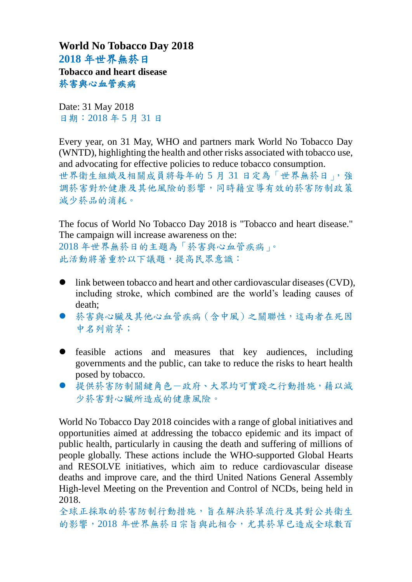**World No Tobacco Day 2018 2018** 年世界無菸日 **Tobacco and heart disease** 菸害與心血管疾病

Date: 31 May 2018 日期:2018 年 5 月 31 日

Every year, on 31 May, WHO and partners mark World No Tobacco Day (WNTD), highlighting the health and other risks associated with tobacco use, and advocating for effective policies to reduce tobacco consumption. 世界衛生組織及相關成員將每年的 5 月 31 日定為「世界無菸日」,強 調菸害對於健康及其他風險的影響,同時藉宣導有效的菸害防制政策 減少菸品的消耗。

The focus of World No Tobacco Day 2018 is "Tobacco and heart disease." The campaign will increase awareness on the: 2018 年世界無菸日的主題為「菸害與心血管疾病」。 此活動將著重於以下議題,提高民眾意識:

- link between tobacco and heart and other cardiovascular diseases (CVD), including stroke, which combined are the world's leading causes of death;
- 菸害與心臟及其他心血管疾病(含中風)之關聯性,這兩者在死因 中名列前茅;
- feasible actions and measures that key audiences, including governments and the public, can take to reduce the risks to heart health posed by tobacco.
- 提供菸害防制關鍵角色-政府、大眾均可實踐之行動措施,藉以減 少菸害對心臟所造成的健康風險。

World No Tobacco Day 2018 coincides with a range of global initiatives and opportunities aimed at addressing the tobacco epidemic and its impact of public health, particularly in causing the death and suffering of millions of people globally. These actions include the WHO-supported Global Hearts and RESOLVE initiatives, which aim to reduce cardiovascular disease deaths and improve care, and the third United Nations General Assembly High-level Meeting on the Prevention and Control of NCDs, being held in 2018.

全球正採取的菸害防制行動措施,旨在解決菸草流行及其對公共衛生 的影響,2018年世界無菸日宗旨與此相合,尤其菸草已造成全球數百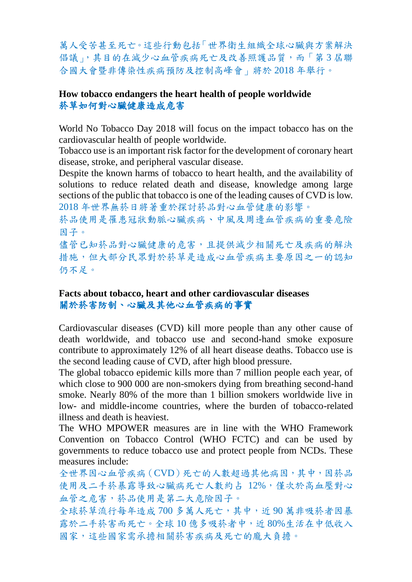萬人受苦甚至死亡。這些行動包括「世界衛生組織全球心臟與方案解決 倡議」,其目的在減少心血管疾病死亡及改善照講品質,而「第3 尾聯 合國大會暨非傳染性疾病預防及控制高峰會」將於 2018 年舉行。

## **How tobacco endangers the heart health of people worldwide** 菸草如何對心臟健康造成危害

World No Tobacco Day 2018 will focus on the impact tobacco has on the cardiovascular health of people worldwide.

Tobacco use is an important risk factor for the development of coronary heart disease, stroke, and peripheral vascular disease.

Despite the known harms of tobacco to heart health, and the availability of solutions to reduce related death and disease, knowledge among large sections of the public that tobacco is one of the leading causes of CVD is low. 2018 年世界無菸日將著重於探討菸品對心血管健康的影響。

菸品使用是罹患冠狀動脈心臟疾病、中風及周邊血管疾病的重要危險 因子。

儘管已知菸品對心臟健康的危害,且提供減少相關死亡及疾病的解決 措施,但大部分民眾對於菸草是造成心血管疾病主要原因之一的認知 仍不足。

## **Facts about tobacco, heart and other cardiovascular diseases** 關於菸害防制、心臟及其他心血管疾病的事實

Cardiovascular diseases (CVD) kill more people than any other cause of death worldwide, and tobacco use and second-hand smoke exposure contribute to approximately 12% of all heart disease deaths. Tobacco use is the second leading cause of CVD, after high blood pressure.

The global tobacco epidemic kills more than 7 million people each year, of which close to 900 000 are non-smokers dying from breathing second-hand smoke. Nearly 80% of the more than 1 billion smokers worldwide live in low- and middle-income countries, where the burden of tobacco-related illness and death is heaviest.

The WHO MPOWER measures are in line with the WHO Framework Convention on Tobacco Control (WHO FCTC) and can be used by governments to reduce tobacco use and protect people from NCDs. These measures include:

全世界因心血管疾病(CVD)死亡的人數超過其他病因,其中,因菸品 使用及二手菸暴露導致心臟病死亡人數約占 12%,僅次於高血壓對心 血管之危害,菸品使用是第二大危險因子。

全球菸草流行每年造成 700 多萬人死亡,其中,近 90 萬非吸菸者因暴 露於二手菸害而死亡。全球10億多吸菸者中,近80%生活在中低收入 國家,這些國家需承擔相關菸害疾病及死亡的龐大負擔。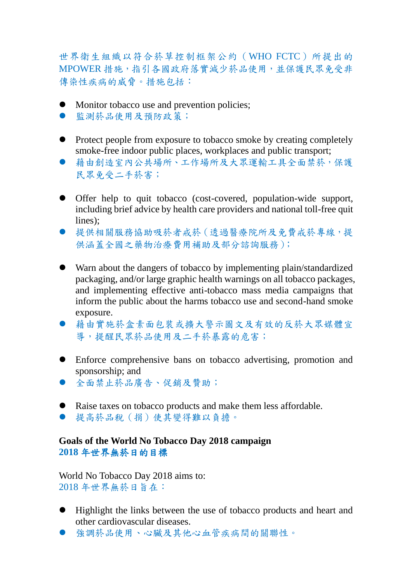世界衛生組織以符合菸草控制框架公約(WHO FCTC)所提出的 MPOWER 措施,指引各國政府落實減少菸品使用,並保護民眾免受非 傳染性疾病的威脅。措施包括:

- Monitor tobacco use and prevention policies;
- 監測菸品使用及預防政策;
- Protect people from exposure to tobacco smoke by creating completely smoke-free indoor public places, workplaces and public transport;
- 藉由創造室內公共場所、工作場所及大眾運輸工具全面禁菸,保護 民眾免受二手菸害;
- Offer help to quit tobacco (cost-covered, population-wide support, including brief advice by health care providers and national toll-free quit lines);
- 提供相關服務協助吸菸者戒菸(透過醫療院所及免費戒菸專線,提 供涵蓋全國之藥物治療費用補助及部分諮詢服務);
- Warn about the dangers of tobacco by implementing plain/standardized packaging, and/or large graphic health warnings on all tobacco packages, and implementing effective anti-tobacco mass media campaigns that inform the public about the harms tobacco use and second-hand smoke exposure.
- 藉由實施菸盒素面包裝或擴大警示圖文及有效的反菸大眾媒體宣 導,提醒民眾菸品使用及二手菸暴露的危害;
- Enforce comprehensive bans on tobacco advertising, promotion and sponsorship; and
- 全面禁止菸品廣告、促銷及贊助;
- Raise taxes on tobacco products and make them less affordable.
- 提高菸品稅(捐)使其變得難以負擔。

## **Goals of the World No Tobacco Day 2018 campaign 2018** 年世界無菸日的目標

World No Tobacco Day 2018 aims to: 2018 年世界無菸日旨在:

- Highlight the links between the use of tobacco products and heart and other cardiovascular diseases.
- 強調菸品使用、心臟及其他心血管疾病間的關聯性。